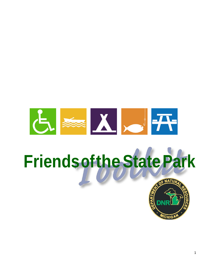

# **FriendsoftheStatePark**

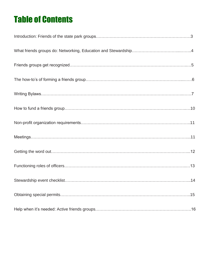# Table of Contents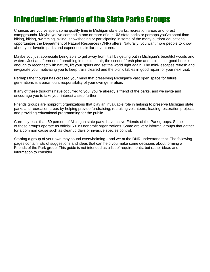### Introduction: Friends of the State Parks Groups

Chances are you've spent some quality time in Michigan state parks, recreation areas and forest campgrounds. Maybe you've camped in one or more of our 103 state parks or perhaps you've spent time hiking, biking, swimming, skiing, snowshoeing or participating in some of the many outdoor educational opportunities the Department of Natural Resources (DNR) offers. Naturally, you want more people to know about your favorite parks and experience similar adventures.

Maybe you just appreciate being able to get away from it all by getting out in Michigan's beautiful woods and waters. Just an afternoon of breathing in the clean air, the scent of fresh pine and a picnic or good book is enough to reconnect with nature, lift your spirits and set the world right again. The mini- escapes refresh and invigorate you, motivating you to keep trails cleared and the picnic tables in good repair for your next visit.

Perhaps the thought has crossed your mind that preserving Michigan's vast open space for future generations is a paramount responsibility of your own generation.

If any of these thoughts have occurred to you, you're already a friend of the parks, and we invite and encourage you to take your interest a step further.

Friends groups are nonprofit organizations that play an invaluable role in helping to preserve Michigan state parks and recreation areas by helping provide fundraising, recruiting volunteers, leading restoration projects and providing educational programming for the public.

Currently, less than 50 percent of Michigan state parks have active Friends of the Park groups. Some of these groups operate as official 501c3 nonprofit organizations. Some are very informal groups that gather for a common cause such as cleanup days or invasive species control.

Starting a group of your own may sound overwhelming - and we at the DNR understand that. The following pages contain lists of suggestions and ideas that can help you make some decisions about forming a Friends of the Park group. This guide is not intended as a list of requirements, but rather ideas and information to consider.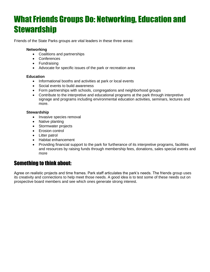### **What Friends Groups Do: Networking, Education and Stewardship**

Friends of the State Parks groups are vital leaders in these three areas:

#### **Networking**

- Coalitions and partnerships
- Conferences
- Fundraising
- Advocate for specific issues of the park or recreation area

#### **Education**

- Informational booths and activities at park or local events
- Social events to build awareness
- Form partnerships with schools, congregations and neighborhood groups
- Contribute to the interpretive and educational programs at the park through interpretive signage and programs including environmental education activities, seminars, lectures and more.

#### **Stewardship**

- Invasive species removal
- Native planting
- Stormwater projects
- Erosion control
- Litter patrol
- Habitat enhancement
- Providing financial support to the park for furtherance of its interpretive programs, facilities and resources by raising funds through membership fees, donations, sales special events and more

### Something to think about:

Agree on realistic projects and time frames. Park staff articulates the park's needs. The friends group uses its creativity and connections to help meet those needs. A good idea is to test some of these needs out on prospective board members and see which ones generate strong interest.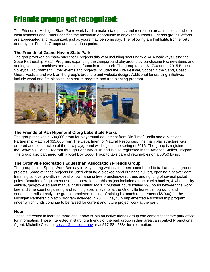# Friends groups get recognized:

The Friends of Michigan State Parks work hard to make state parks and recreation areas the places where local residents and visitors can find the maximum opportunity to enjoy the outdoors. Friends groups' efforts are appreciated and recognized, just as yours may be some day. The following are highlights from efforts done by our Friends Groups at their various parks.

#### **The Friends of Grand Haven State Park**

The group worked on many successful projects this year including securing two ADA walkways using the State Partnership Match Program, expanding the campground playground by purchasing two new items and adding vending machines and a drinking fountain to the park. The group raised \$1,700 at the 2015 Beach Volleyball Tournament. Other events and projects included the Kite Festival, Soccer in the Sand, Coast Guard Festival and work on the group's brochure and website design. Additional fundraising initiatives include wood and fire pit sales, can return program and tree planting program.



#### **The Friends of Van Riper and Craig Lake State Parks**

The group received a \$90,000 grant for playground equipment from Rio Tinto/Lundin and a Michigan Partnership Match of \$35,000 from The Department of Natural Resources. The main play structure was ordered and construction of the new playground will begin in the spring of 2016. The group is registered in the Schwan's Cares Program through February 2016 and is also registered in the Amazon Smiles Program. The group also partnered with a local Boy Scout Troop to take care of returnables on a 50/50 basis.

#### **The Ortonville Recreation Equestrian Association Friends Group**

The group held a Spring Work Bee day in May during which volunteers contributed to trail and campground projects. Some of these projects included clearing a blocked pond drainage culvert, opening a beaver dam, trimming tail overgrowth, removal of low hanging tree branches/dead trees and righting of several picket poles. Donation of equipment use and operation for this project included a tractor with bucket, 4-wheel utility vehicle, gas-powered and manual brush cutting tools. Volunteer hours totaled 290 hours between the work bee and time spent organizing and running special events at the Ortonville horse campground and equestrian trails. Lastly, the group completed funding of raising its match requirement (\$5,000) for the Michigan Partnership Match program awarded in 2014. They fully implemented a sponsorship program under which funds continue to be raised for current and future project work at the park.

#### **Note:**

Those interested in learning more about how to join an active friends group can contact that state park office for information. Those interested in starting a friends of the park group in their area can contact Promotional Agent, Michelle Coss, at [cossm@michigan.gov](mailto:cossm@michigan.gov) or at 517-881-5884 for information.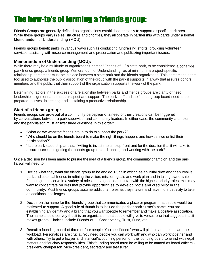# The how-to's of forming a friends group:

Friends Groups are generally defined as organizations established primarily to support a specific park area. While these groups vary in size, structure and priorities, they all operate in partnership with parks under a formal Memorandum of Understanding (MOU).

Friends groups benefit parks in various ways such as conducting fundraising efforts, providing volunteer services. assisting with resource management and preservation and publicizing important issues.

#### **Memorandum of Understanding (MOU):**

While there may be a multitude of organizations named "Friends of…" a state park, to be considered a bona fide park friends group, a friends group Memorandum of Understanding, or, at minimum, a project-specific relationship agreement must be in place between a state park and the friends organization. This agreement is the tool used to authorize the public association of the group with the park it supports in a way that assures donors, members and the public that their support of the organization supports the work of the park.

Determining factors in the success of a relationship between parks and friends groups are clarity of need, leadership, alignment and mutual respect and support. The park staff and the friends group board need to be prepared to invest in creating and sustaining a productive relationship.

#### **Start of a friends group:**

Friends groups can grow out of a community perception of a need or their creations can be triggered by conversations between a park supervisor and community leaders. In either case, the community champion and the park liaison must answer three questions in this order:

- "What do we want the friends group to do to support the park?"
- "Who should be on the friends board to make the right things happen, and how can we enlist their participation?"
- "Is the park leadership and staff willing to invest the time up-front and for the duration that it will take to ensure success in getting the friends group up and running and working with the park?

Once a decision has been made to pursue the idea of a friends group, the community champion and the park liaison will need to:

- 1. Decide what they want the friends group to be and do. Put it in writing as an initial draft and then involve park and potential friends in refining the vision, mission, goals and work plan and in taking ownership. Friends groups serve in a variety of roles. It is a good idea to start with the highest priority roles. You may want to concentrate on roles that provide opportunities to develop roots and credibility in the community. Most friends groups assume additional roles as they mature and have more capacity to take on additional challenges.
- 2. Decide on the name for the friends' group that communicates a place or program that people would be motivated to support. A good rule of thumb is to include the park or park cluster's name. You are establishing an identity and a brand that you want people to remember and make a positive association. The name should convey that it is an organization that people will give to versus one that suggests that it makes grants. Choices include Friends of ..., Conservancy, Trust, Fund, etc.
- 3. Recruit a founding board of three or four people. You need "doers" who will pitch in and help share the workload. Personalities are crucial. You need people you can work with and who can work together and with others. Try to get a lawyer and financial/accounting person on the founding board to assist with legal matters and fiduciary responsibilities. This founding board must be willing to be named as board officers president/ chairperson, vice-president, secretary and treasurer.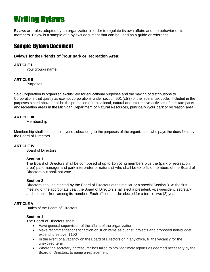# Writing Bylaws

Bylaws are rules adopted by an organization in order to regulate its own affairs and the behavior of its members. Below is a sample of a bylaws document that can be used as a guide or reference.

### Sample Bylaws Document

#### **Bylaws for the Friends of (Your park or Recreation Area**)

#### **ARTICLE I**

Your group's name

#### **ARTICLE II**

**Purposes** 

Said Corporation is organized exclusively for educational purposes and the making of distributions to Corporations that qualify as exempt corporations under section 501 (c)(3) of the federal tax code. Included in the purposes stated above shall be the promotion of recreational, natural and interpretive activities of the state parks and recreation areas in the Michigan Department of Natural Resources, principally (your park or recreation area).

#### **ARTICLE III**

Membership

Membership shall be open to anyone subscribing to the purposes of the organization who pays the dues fixed by the Board of Directors.

#### **ARTICLE IV**

Board of Directors

#### **Section 1**

The Board of Directors shall be composed of up to 15 voting members plus the (park or recreation area) park manager and park interpreter or naturalist who shall be ex-officio members of the Board of Directors but shall not vote.

#### **Section 2**

Directors shall be elected by the Board of Directors at the regular or a special Section 3. At the first meeting of the appropriate year, the Board of Directors shall elect a president, vice-president, secretary and treasurer from among its number. Each officer shall be elected for a term of two (2) years.

#### **ARTICLE V**

Duties of the Board of Directors

#### **Section 1**

The Board of Directors shall:

- Have general supervision of the affairs of the organization
- Make recommendations for action on such items as budget, projects and proposed non-budget expenditures over \$100
- In the event of a vacancy on the Board of Directors or in any office, fill the vacancy for the unexpired term
- Where the secretary or treasurer has failed to provide timely reports as deemed necessary by the Board of Directors, to name a replacement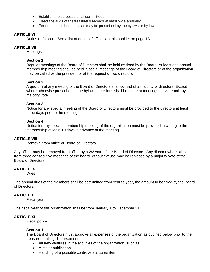- Establish the purposes of all committees
- Direct the audit of the treasurer's records at least once annually
- Perform such other duties as may be prescribed by the bylaws or by law.

#### **ARTICLE VI**

Duties of Officers: See a list of duties of officers in this booklet on page 13.

#### **ARTICLE VII**

**Meetings** 

#### **Section 1**

Regular meetings of the Board of Directors shall be held as fixed by the Board. At least one annual membership meeting shall be held. Special meetings of the Board of Directors or of the organization may be called by the president or at the request of two directors.

#### **Section 2**

A quorum at any meeting of the Board of Directors shall consist of a majority of directors. Except where otherwise prescribed in the bylaws, decisions shall be made at meetings, or via email, by majority vote.

#### **Section 3**

Notice for any special meeting of the Board of Directors must be provided to the directors at least three days prior to the meeting.

#### **Section 4**

Notice for any special membership meeting of the organization must be provided in writing to the membership at least 10 days in advance of the meeting.

#### **ARTICLE VIII**

Removal from office or Board of Directors

Any officer may be removed from office by a 2/3 vote of the Board of Directors. Any director who is absent from three consecutive meetings of the board without excuse may be replaced by a majority vote of the Board of Directors.

#### **ARTICLE IX**

**Dues** 

The annual dues of the members shall be determined from year to year, the amount to be fixed by the Board of Directors.

#### **ARTICLE X**

Fiscal year

The fiscal year of this organization shall be from January 1 to December 31.

#### **ARTICLE XI**

Fiscal policy

#### **Section 1**

The Board of Directors must approve all expenses of the organization as outlined below prior to the treasurer making disbursements:

- All new ventures in the activities of the organization, such as:
- A major publication
- Handling of a possible controversial sales item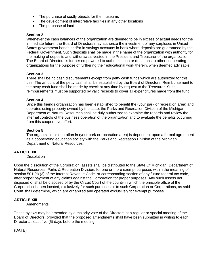- The purchase of costly objects for the museums
- The development of interpretive facilities in any other locations
- The purchase of land

#### **Section 2**

Whenever the cash balances of the organization are deemed to be in excess of actual needs for the immediate future, the Board of Directors may authorize the investment of any surpluses in United States government bonds and/or in savings accounts in bank where deposits are guaranteed by the Federal Government. Such deposits shall be made in the name of the organization with authority for the making of deposits and withdrawals vested in the President and Treasurer of the organization. The Board of Directors is further empowered to authorize loan or donations to other cooperating organizations for the purpose of furthering their educational work therein, when deemed advisable.

#### **Section 3**

There shall be no cash disbursements except from petty cash funds which are authorized for this use. The amount of the petty cash shall be established by the Board of Directors. Reimbursement to the petty cash fund shall be made by check at any time by request to the Treasurer. Such reimbursements must be supported by valid receipts to cover all expenditures made from the fund.

#### **Section 4**

Since this friends organization has been established to benefit the (your park or recreation area) and operates using property owned by the state, the Parks and Recreation Division of the Michigan Department of Natural Resources shall be duly authorized to examine the records and review the internal controls of the business operation of the organization and to evaluate the benefits occurring from this cooperative effort.

#### **Section 5**

The organization's operation in (your park or recreation area) is dependent upon a formal agreement as a cooperating education society with the Parks and Recreation Division of the Michigan Department of Natural Resources.

#### **ARTICLE XII**

**Dissolution** 

Upon the dissolution of the Corporation, assets shall be distributed to the State Of Michigan, Department of Natural Resources, Parks & Recreation Division, for one or more exempt purposes within the meaning of section 501 (c) (3) of the Internal Revenue Code, or corresponding section of any future federal tax code, after proper payment of any claims against the Corporation for proper purposes. Any such assets not disposed of shall be disposed of by the Circuit Court of the county in which the principle office of the Corporation is then located, exclusively for such purposes or to such Corporation or Corporations, as said Court shall determine, which are organized and operated exclusively for exempt purposes.

#### **ARTICLE XIII**

Amendments

These bylaws may be amended by a majority vote of the Directors at a regular or special meeting of the Board of Directors, provided that the proposed amendments shall have been submitted in writing to each Director at least five (5) days before the meeting.

(DATE)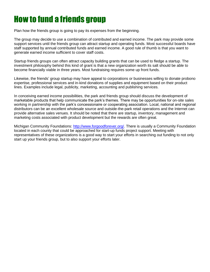### How to fund a friends group

Plan how the friends group is going to pay its expenses from the beginning.

The group may decide to use a combination of contributed and earned income. The park may provide some support services until the friends group can attract startup and operating funds. Most successful boards have staff supported by annual contributed funds and earned income. A good rule of thumb is that you want to generate earned income sufficient to cover staff costs.

Startup friends groups can often attract capacity building grants that can be used to fledge a startup. The investment philosophy behind this kind of grant is that a new organization worth its salt should be able to become financially viable in three years. Most fundraising requires some up front funds.

Likewise, the friends' group startup may have appeal to corporations or businesses willing to donate probono expertise, professional services and in-kind donations of supplies and equipment based on their product lines. Examples include legal, publicity, marketing, accounting and publishing services.

In conceiving earned income possibilities, the park and friends group should discuss the development of marketable products that help communicate the park's themes. There may be opportunities for on-site sales working in partnership with the park's concessionaire or cooperating association. Local, national and regional distributors can be an excellent wholesale source and outside-the-park retail operations and the Internet can provide alternative sales venues. It should be noted that there are startup, inventory, management and marketing costs associated with product development but the rewards are often great.

Michigan Community Foundations: [http://www.forgoodforever.org/.](http://www.forgoodforever.org/) There is usually a Community Foundation located in each county that could be approached for start-up funds project support. Meeting with representatives of these organizations is a good way to start your efforts in searching out funding to not only start up your friends group, but to also support your efforts later.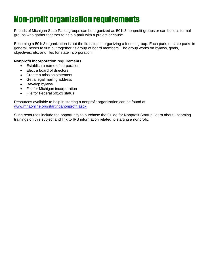### Non-profit organization requirements

Friends of Michigan State Parks groups can be organized as 501c3 nonprofit groups or can be less formal groups who gather together to help a park with a project or cause.

Becoming a 501c3 organization is not the first step in organizing a friends group. Each park, or state parks in general, needs to first put together its group of board members. The group works on bylaws, goals, objectives, etc. and files for state incorporation.

#### **Nonprofit incorporation requirements**

- Establish a name of corporation
- Elect a board of directors
- Create a mission statement
- Get a legal mailing address
- Develop bylaws
- File for Michigan incorporation
- File for Federal 501c3 status

Resources available to help in starting a nonprofit organization can be found at [www.mnaonline.org/startinganonprofit.aspx.](http://www.mnaonline.org/startinganonprofit.aspx)

Such resources include the opportunity to purchase the Guide for Nonprofit Startup, learn about upcoming trainings on this subject and link to IRS information related to starting a nonprofit.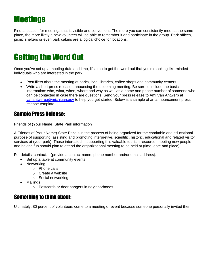# **Meetings**

Find a location for meetings that is visible and convenient. The more you can consistently meet at the same place, the more likely a new volunteer will be able to remember it and participate in the group. Park offices, picnic shelters or even park cabins are a logical choice for locations.

### Getting the Word Out

Once you've set up a meeting date and time, it's time to get the word out that you're seeking like-minded individuals who are interested in the park.

- Post fliers about the meeting at parks, local libraries, coffee shops and community centers.
- Write a short press release announcing the upcoming meeting. Be sure to include the basic information: who, what, when, where and why as well as a name and phone number of someone who can be contacted in case there are questions. Send your press release to Ami Van Antwerp at [vanantwerpa@michigan.gov](mailto:vanantwerpa@michigan.gov) to help you get started. Below is a sample of an announcement press release template.

### Sample Press Release:

Friends of (Your Name) State Park information

A Friends of (Your Name) State Park is in the process of being organized for the charitable and educational purpose of supporting, assisting and promoting interpretive, scientific, historic, educational and related visitor services at (your park). Those interested in supporting this valuable tourism resource, meeting new people and having fun should plan to attend the organizational meeting to be held at (time, date and place).

For details, contact… (provide a contact name, phone number and/or email address).

- Set up a table at community events
- Networking
	- Phone calls
	- $o$  Create a website
	- Social networking
- **Mailings** 
	- Postcards or door hangers in neighborhoods

### Something to think about:

Ultimately, 80 percent of volunteers come to a meeting or event because someone personally invited them.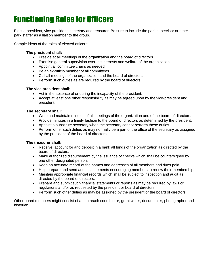# Functioning Roles for Officers

Elect a president, vice president, secretary and treasurer. Be sure to include the park supervisor or other park staffer as a liaison member to the group.

Sample ideas of the roles of elected officers:

#### **The president shall:**

- Preside at all meetings of the organization and the board of directors.
- Exercise general supervision over the interests and welfare of the organization.
- Appoint all committee chairs as needed.
- Be an ex-officio member of all committees.
- Call all meetings of the organization and the board of directors.
- Perform such duties as are required by the board of directors.

#### **The vice president shall:**

- Act in the absence of or during the incapacity of the president.
- Accept at least one other responsibility as may be agreed upon by the vice-president and president.

#### **The secretary shall:**

- Write and maintain minutes of all meetings of the organization and of the board of directors.
- Provide minutes in a timely fashion to the board of directors as determined by the president.
- Appoint a substitute secretary when the secretary cannot perform these duties.
- Perform other such duties as may normally be a part of the office of the secretary as assigned by the president of the board of directors.

#### **The treasurer shall:**

- Receive, account for and deposit in a bank all funds of the organization as directed by the board of directors.
- Make authorized disbursement by the issuance of checks which shall be countersigned by one other designated person.
- Keep an accurate record of the names and addresses of all members and dues paid.
- Help prepare and send annual statements encouraging members to renew their membership.
- Maintain appropriate financial records which shall be subject to inspection and audit as directed by the board of directors.
- Prepare and submit such financial statements or reports as may be required by laws or regulations and/or as requested by the president or board of directors.
- Perform such other duties as may be assigned by the president or the board of directors.

Other board members might consist of an outreach coordinator, grant writer, documenter, photographer and historian.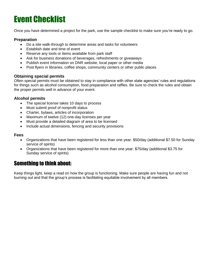# Event Checklist

Once you have determined a project for the park, use the sample checklist to make sure you're ready to go.

#### **Preparation**

- Do a site walk-through to determine areas and tasks for volunteers
- Establish date and time of event
- Reserve any tools or items available from park staff
- Ask for business donations of beverages, refreshments or giveaways
- Publish event information on DNR website, local paper or other media
- Post flyers in libraries, coffee shops, community centers or other public places

#### **Obtaining special permits**

Often special permits must be obtained to stay in compliance with other state agencies' rules and regulations for things such as alcohol consumption, food preparation and raffles. Be sure to check the rules and obtain the proper permits well in advance of your event.

#### **Alcohol permits**

- The special license takes 10 days to process
- Must submit proof of nonprofit status
- Charter, bylaws, articles of incorporation
- Maximum of twelve (12) one-day licenses per year
- Must provide a detailed diagram of area to be licensed
- Include actual dimensions, fencing and security provisions

#### **Fees**

- Organizations that have been registered for less than one year: \$50/day (additional \$7.50 for Sunday service of spirits)
- Organizations that have been registered for more than one year: \$75/day (additional \$3.75 for Sunday service of spirits)

### Something to think about:

Keep things light, keep a read on how the group is functioning. Make sure people are having fun and not burning out and that the group's process is facilitating equitable involvement by all members.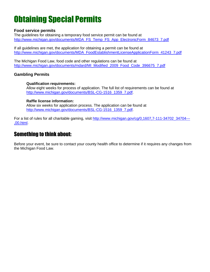### Obtaining Special Permits

#### **Food service permits**

The guidelines for obtaining a temporary food service permit can be found at [http://www.michigan.gov/documents/MDA\\_FS\\_Temp\\_FS\\_App\\_ElectronicForm\\_84673\\_7.pdf](http://www.michigan.gov/documents/MDA_FS_Temp_FS_App_ElectronicForm_84673_7.pdf)

If all guidelines are met, the application for obtaining a permit can be found at [http://www.michigan.gov/documents/MDA\\_FoodEstablishmentLicenseApplicationForm\\_41243\\_7.pdf](http://www.michigan.gov/documents/MDA_FoodEstablishmentLicenseApplicationForm_41243_7.pdf)

The Michigan Food Law, food code and other regulations can be found at [http://www.michigan.gov/documents/mdard/MI\\_Modified\\_2009\\_Food\\_Code\\_396675\\_7.pdf](http://www.michigan.gov/documents/mdard/MI_Modified_2009_Food_Code_396675_7.pdf)

#### **Gambling Permits**

#### **Qualification requirements:**

Allow eight weeks for process of application. The full list of requirements can be found at [http://www.michigan.gov/documents/BSL-CG-1516\\_1359\\_7.pdf.](http://www.michigan.gov/documents/BSL-CG-1516_1359_7.pdf)

#### **Raffle license information:**

Allow six weeks for application process. The application can be found at [http://www.michigan.gov/documents/BSL-CG-1516\\_1359\\_7.pdf.](http://www.michigan.gov/documents/BSL-CG-1516_1359_7.pdf)

For a list of rules for all charitable gaming, visit [http://www.michigan.gov/cg/0,1607,7-111-34702\\_34704---](http://www.michigan.gov/cg/0,1607,7-111-34702_34704---,00.html) [,00.html.](http://www.michigan.gov/cg/0,1607,7-111-34702_34704---,00.html)

### Something to think about:

Before your event, be sure to contact your county health office to determine if it requires any changes from the Michigan Food Law.